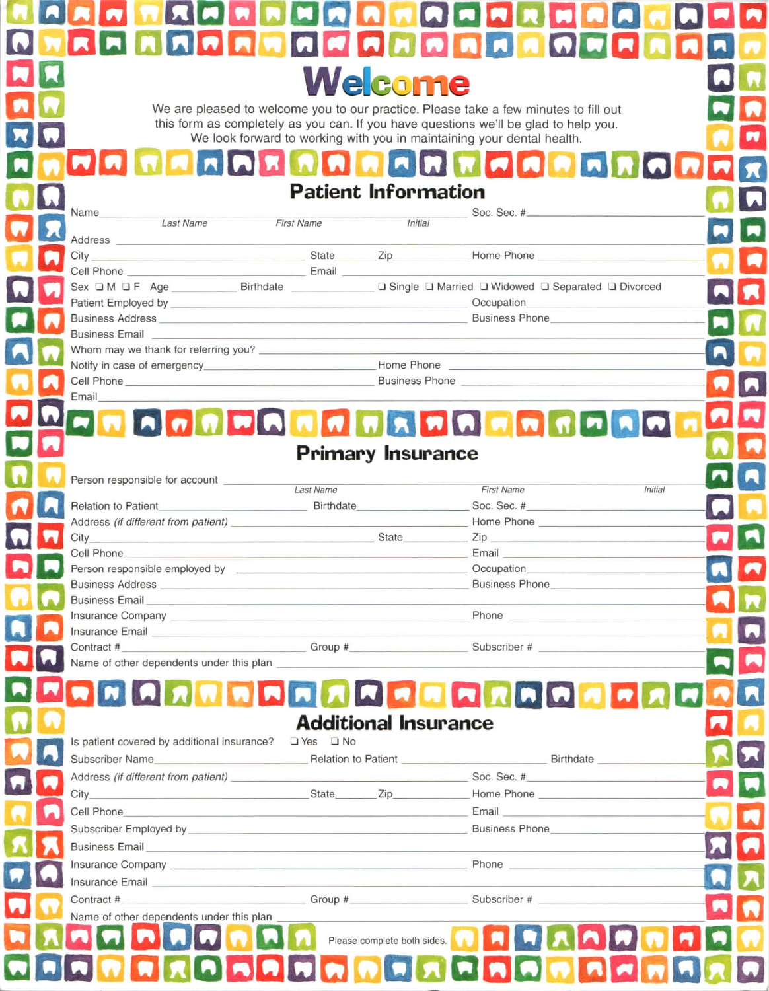| FORMACAHOMACAHA<br><b>IRIN</b><br>IR.<br>Welcome<br>We are pleased to welcome you to our practice. Please take a few minutes to fill out<br>this form as completely as you can. If you have questions we'll be glad to help you.<br>We look forward to working with you in maintaining your dental health.                                                                                                                                                                                                                    |  |
|-------------------------------------------------------------------------------------------------------------------------------------------------------------------------------------------------------------------------------------------------------------------------------------------------------------------------------------------------------------------------------------------------------------------------------------------------------------------------------------------------------------------------------|--|
|                                                                                                                                                                                                                                                                                                                                                                                                                                                                                                                               |  |
|                                                                                                                                                                                                                                                                                                                                                                                                                                                                                                                               |  |
|                                                                                                                                                                                                                                                                                                                                                                                                                                                                                                                               |  |
|                                                                                                                                                                                                                                                                                                                                                                                                                                                                                                                               |  |
|                                                                                                                                                                                                                                                                                                                                                                                                                                                                                                                               |  |
|                                                                                                                                                                                                                                                                                                                                                                                                                                                                                                                               |  |
| <b>Patient Information</b>                                                                                                                                                                                                                                                                                                                                                                                                                                                                                                    |  |
| Name<br>Soc. Sec. #                                                                                                                                                                                                                                                                                                                                                                                                                                                                                                           |  |
| <b>Last Name</b><br><b>First Name</b><br><b>Initial</b><br>Address                                                                                                                                                                                                                                                                                                                                                                                                                                                            |  |
|                                                                                                                                                                                                                                                                                                                                                                                                                                                                                                                               |  |
| Cell Phone <b>Call Phone Call Phone Call Phone Call Phone Call Phone Call Phone Call Phone Call Phone Call Phone Call Phone Call Phone Call Phone Call Phone Call Phone Call Phone Call Phone Ca</b><br>Sex D M O F Age __________ Birthdate _____________ D Single D Married D Widowed D Separated D Divorced                                                                                                                                                                                                                |  |
|                                                                                                                                                                                                                                                                                                                                                                                                                                                                                                                               |  |
| Business Phone<br>Business Address <b>Example 2018</b> Number 2018 12:30 Number 2018 12:30 Number 2018 12:30 Number 2018 12:30 Number 2018<br><b>Business Email</b>                                                                                                                                                                                                                                                                                                                                                           |  |
| <u> 1980 - Johann Barn, mars and de Branch and de Branch and de Branch and de Branch and de Branch and de Branch</u><br>М                                                                                                                                                                                                                                                                                                                                                                                                     |  |
| Cell Phone <b>Contract Contract Contract Contract Contract Contract Contract Contract Contract Contract Contract Contract Contract Contract Contract Contract Contract Contract Contract Contract Contract Contract Contract Con</b>                                                                                                                                                                                                                                                                                          |  |
| Email                                                                                                                                                                                                                                                                                                                                                                                                                                                                                                                         |  |
| <b>FRAGGERAGERAGER</b>                                                                                                                                                                                                                                                                                                                                                                                                                                                                                                        |  |
|                                                                                                                                                                                                                                                                                                                                                                                                                                                                                                                               |  |
| <b>Primary Insurance</b>                                                                                                                                                                                                                                                                                                                                                                                                                                                                                                      |  |
| Person responsible for account<br>Last Name<br><b>First Name</b><br><i>Initial</i>                                                                                                                                                                                                                                                                                                                                                                                                                                            |  |
| Soc. Sec. #<br>Relation to Patient <b>Exercise 2020</b> Birthdate <b>Birthdate</b>                                                                                                                                                                                                                                                                                                                                                                                                                                            |  |
| $City_$<br>State State<br>Zip and the contract of the contract of the contract of the contract of the contract of the contract of the contract of the contract of the contract of the contract of the contract of the contract of the contract of the co                                                                                                                                                                                                                                                                      |  |
| Cell Phone<br>Person responsible employed by <b>contact and the employed by</b>                                                                                                                                                                                                                                                                                                                                                                                                                                               |  |
| Business Phone <b>Contract Contract Contract Contract Contract Contract Contract Contract Contract Contract Contract Contract Contract Contract Contract Contract Contract Contract Contract Contract Contract Contract Contract</b><br>Business Address <b>Material Community</b> and Community and Community and Community and Community and Community and Community and Community and Community and Community and Community and Community and Community and Community an                                                   |  |
| Business Email <b>Executive Contract Contract Contract Contract Contract Contract Contract Contract Contract Contract Contract Contract Contract Contract Contract Contract Contract Contract Contract Contract Contract Contrac</b><br>and the contract of the contract of the contract of<br>Insurance Company entertainment and the company of the company of the company of the company of the company of the company of the company of the company of the company of the company of the company of the company of the co |  |
| Insurance Email experience of the contract of the contract of the contract of the contract of the contract of the contract of the contract of the contract of the contract of the contract of the contract of the contract of                                                                                                                                                                                                                                                                                                 |  |
| Name of other dependents under this plan                                                                                                                                                                                                                                                                                                                                                                                                                                                                                      |  |
|                                                                                                                                                                                                                                                                                                                                                                                                                                                                                                                               |  |
| <b>ARRAHAAAAAAAAA</b>                                                                                                                                                                                                                                                                                                                                                                                                                                                                                                         |  |
| <b>Additional Insurance</b>                                                                                                                                                                                                                                                                                                                                                                                                                                                                                                   |  |
| Is patient covered by additional insurance?<br><u>U</u> Yes<br>U No                                                                                                                                                                                                                                                                                                                                                                                                                                                           |  |
| Address (if different from patient) Soc. Sec. #                                                                                                                                                                                                                                                                                                                                                                                                                                                                               |  |
|                                                                                                                                                                                                                                                                                                                                                                                                                                                                                                                               |  |
|                                                                                                                                                                                                                                                                                                                                                                                                                                                                                                                               |  |
| <u> Terminal de la componenta</u>                                                                                                                                                                                                                                                                                                                                                                                                                                                                                             |  |
|                                                                                                                                                                                                                                                                                                                                                                                                                                                                                                                               |  |
| Insurance Email <b>Exercise Contract Contract Contract Contract Contract Contract Contract Contract Contract Contract Contract Contract Contract Contract Contract Contract Contract Contract Contract Contract Contract Contrac</b>                                                                                                                                                                                                                                                                                          |  |
| Name of other dependents under this plan                                                                                                                                                                                                                                                                                                                                                                                                                                                                                      |  |
| Please complete both sides.                                                                                                                                                                                                                                                                                                                                                                                                                                                                                                   |  |
|                                                                                                                                                                                                                                                                                                                                                                                                                                                                                                                               |  |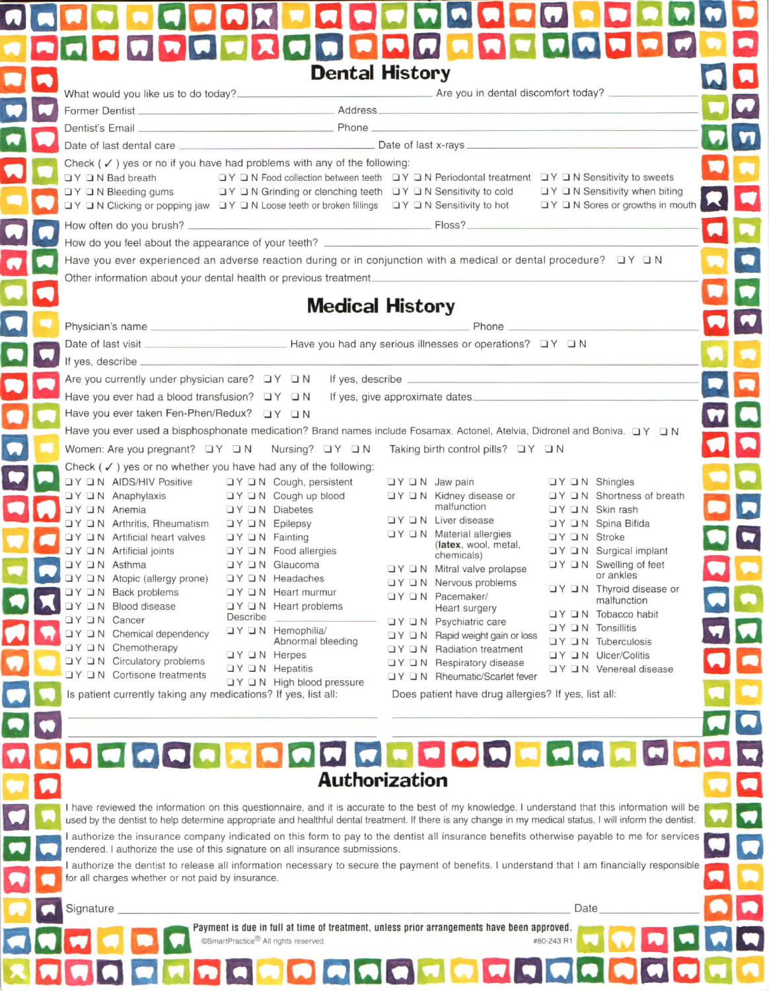|                                                                                            | What would you like us to do today?<br>Mhat would you like us to do today?                                                                                                                                                                                                                                                  |                                                                                                                       |                                                                 |
|--------------------------------------------------------------------------------------------|-----------------------------------------------------------------------------------------------------------------------------------------------------------------------------------------------------------------------------------------------------------------------------------------------------------------------------|-----------------------------------------------------------------------------------------------------------------------|-----------------------------------------------------------------|
|                                                                                            |                                                                                                                                                                                                                                                                                                                             | <u> 1950 - Johann Barn, mars ann an t-Amhain an t-Amhain an t-Amhain an t-Amhain an t-Amhain an t-Amhain an t-Amh</u> |                                                                 |
|                                                                                            | Dentist's Email Phone                                                                                                                                                                                                                                                                                                       |                                                                                                                       |                                                                 |
|                                                                                            |                                                                                                                                                                                                                                                                                                                             |                                                                                                                       |                                                                 |
| $\Box$ $Y$ $\Box$ N Bad breath                                                             | Check (√) yes or no if you have had problems with any of the following:<br>□Y □N Bleeding gums     □Y □N Grinding or clenching teeth □Y □N Sensitivity to cold □Y □N Sensitivity when biting<br>OY ON Clicking or popping jaw OY ON Loose teeth or broken fillings OY ON Sensitivity to hot OY ON Sores or growths in mouth |                                                                                                                       |                                                                 |
|                                                                                            |                                                                                                                                                                                                                                                                                                                             |                                                                                                                       |                                                                 |
|                                                                                            | How do you feel about the appearance of your teeth? _____________________________                                                                                                                                                                                                                                           |                                                                                                                       |                                                                 |
|                                                                                            | Have you ever experienced an adverse reaction during or in conjunction with a medical or dental procedure? $\Box Y \Box N$                                                                                                                                                                                                  |                                                                                                                       |                                                                 |
|                                                                                            | Other information about your dental health or previous treatment                                                                                                                                                                                                                                                            |                                                                                                                       |                                                                 |
|                                                                                            |                                                                                                                                                                                                                                                                                                                             |                                                                                                                       |                                                                 |
|                                                                                            | <b>Medical History</b>                                                                                                                                                                                                                                                                                                      |                                                                                                                       |                                                                 |
|                                                                                            |                                                                                                                                                                                                                                                                                                                             | <b>Phone</b>                                                                                                          |                                                                 |
|                                                                                            |                                                                                                                                                                                                                                                                                                                             |                                                                                                                       |                                                                 |
|                                                                                            |                                                                                                                                                                                                                                                                                                                             |                                                                                                                       |                                                                 |
| If yes, describe _                                                                         |                                                                                                                                                                                                                                                                                                                             |                                                                                                                       |                                                                 |
|                                                                                            |                                                                                                                                                                                                                                                                                                                             |                                                                                                                       |                                                                 |
| Are you currently under physician care? $\Box Y \Box N$                                    |                                                                                                                                                                                                                                                                                                                             |                                                                                                                       |                                                                 |
| Have you ever had a blood transfusion? $\Box Y \Box N$                                     |                                                                                                                                                                                                                                                                                                                             | If yes, give approximate dates                                                                                        |                                                                 |
|                                                                                            |                                                                                                                                                                                                                                                                                                                             |                                                                                                                       |                                                                 |
|                                                                                            | Have you ever used a bisphosphonate medication? Brand names include Fosamax, Actonel, Atelvia, Didronel and Boniva. $\Box Y \Box N$                                                                                                                                                                                         |                                                                                                                       |                                                                 |
|                                                                                            | Women: Are you pregnant? DY DN Nursing? DY DN                                                                                                                                                                                                                                                                               | Taking birth control pills? $\Box Y \Box N$                                                                           |                                                                 |
|                                                                                            | Check $(\checkmark)$ yes or no whether you have had any of the following:                                                                                                                                                                                                                                                   |                                                                                                                       |                                                                 |
| DY DN AIDS/HIV Positive DY DN Cough, persistent                                            |                                                                                                                                                                                                                                                                                                                             | $\Box$ Y $\Box$ N Jaw pain                                                                                            | $\Box Y \Box N$ Shingles                                        |
| UY UN Anaphylaxis UY UN Cough up blood                                                     |                                                                                                                                                                                                                                                                                                                             | □ Y □ N Kidney disease or<br>malfunction                                                                              | $\Box Y \Box N$ Shortness of breath                             |
| <b>DY DIN</b> Anemia                                                                       | <b>DY DN Diabetes</b>                                                                                                                                                                                                                                                                                                       | $\Box Y \Box N$ Liver disease                                                                                         | $\Box Y \Box N$ Skin rash<br><b>コ</b> Y <b>コ</b> N Spina Bifida |
| UY UN Arthritis, Rheumatism UY UN Epilepsy<br>□Y □N Artificial heart valves □Y □N Fainting |                                                                                                                                                                                                                                                                                                                             | $\Box Y \Box N$ Material allergies                                                                                    | $\Box$ Y $\Box$ N Stroke                                        |
| $\Box$ Y $\Box$ N Artificial joints                                                        | <b>DY DIN</b> Food allergies                                                                                                                                                                                                                                                                                                | (latex, wool, metal,<br>chemicals)                                                                                    | ⊔Y □ N Surgical implant                                         |
| ⊒Y ⊒ N Asthma                                                                              | <b>コ</b> Y <b>コ</b> N Glaucoma                                                                                                                                                                                                                                                                                              | $\Box$ Y $\Box$ N Mitral valve prolapse                                                                               | □ Y □ N Swelling of feet                                        |
| □ Y □ N Atopic (allergy prone)                                                             | $\Box$ Y $\Box$ N Headaches                                                                                                                                                                                                                                                                                                 | <b>UY UN Nervous problems</b>                                                                                         | or ankles                                                       |
| <b>OY ON Back problems</b>                                                                 | <b>JY JN</b> Heart murmur                                                                                                                                                                                                                                                                                                   | □ Y □ N Pacemaker/                                                                                                    | N Thyroid disease or<br>malfunction                             |
| <b>OY ON Blood disease</b>                                                                 | <b>IV IN Heart problems</b><br>Describe                                                                                                                                                                                                                                                                                     | Heart surgery                                                                                                         | $\Box$ Y $\Box$ N Tobacco habit                                 |
| <b>JY JN Cancer</b><br>□ Y □ N Chemical dependency                                         | □Y □ N Hemophilia/                                                                                                                                                                                                                                                                                                          | □ Y □ N Psychiatric care                                                                                              | $\Box$ Y $\Box$ N Tonsillitis                                   |
| ⊔Y □ N Chemotherapy                                                                        | Abnormal bleeding                                                                                                                                                                                                                                                                                                           | □ Y □ N Rapid weight gain or loss<br>□ Y □ N Radiation treatment                                                      | <b>OY ON Tuberculosis</b>                                       |
| □ Y □ N Circulatory problems                                                               | $\Box Y$ $\Box N$ Herpes                                                                                                                                                                                                                                                                                                    | $\Box$ Y $\Box$ N Respiratory disease                                                                                 | <b>UY ON Ulcer/Colitis</b>                                      |
| □ Y □ N Cortisone treatments                                                               | $\Box Y \Box N$ Hepatitis                                                                                                                                                                                                                                                                                                   | □ Y □ N Rheumatic/Scarlet fever                                                                                       | □ Y □ N Venereal disease                                        |
| Is patient currently taking any medications? If yes, list all:                             | □ Y □ N High blood pressure                                                                                                                                                                                                                                                                                                 | Does patient have drug allergies? If yes, list all:                                                                   |                                                                 |

I have reviewed the information on this questionnaire, and it is accurate to the best of my knowledge. I understand that this information will be used by the dentist to help determine appropriate and healthful dental treatment. If there is any change in my medical status, I will inform the dentist. I authorize the insurance company indicated on this form to pay to the dentist all insurance benefits otherwise payable to me for services

rendered. I authorize the use of this signature on all insurance submissions.

I authorize the dentist to release all information necessary to secure the payment of benefits. I understand that I am financially responsible for all charges whether or not paid by insurance.

Date

#80-243 R1

Signature

**PERSON** 

**A C C C C C C C C C C C C C C** 

Payment is due in full at time of treatment, unless prior arrangements have been approved.

©SmartPractice<sup>®</sup> All rights reserved.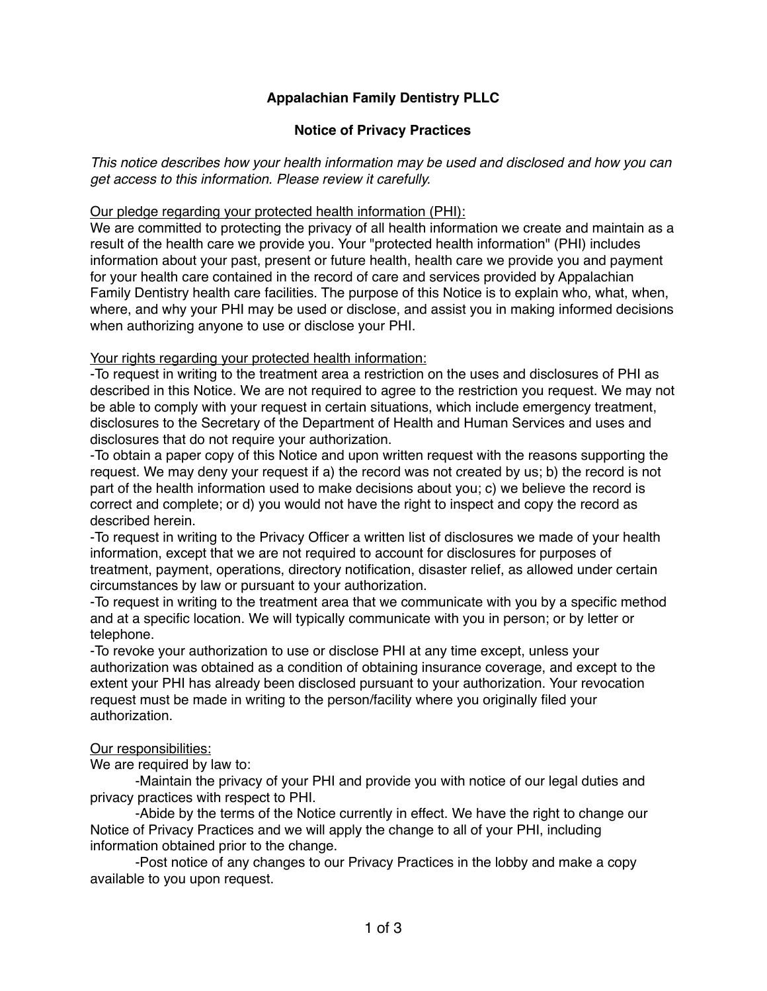#### **Notice of Privacy Practices**

*This notice describes how your health information may be used and disclosed and how you can get access to this information. Please review it carefully.*

#### Our pledge regarding your protected health information (PHI):

We are committed to protecting the privacy of all health information we create and maintain as a result of the health care we provide you. Your "protected health information" (PHI) includes information about your past, present or future health, health care we provide you and payment for your health care contained in the record of care and services provided by Appalachian Family Dentistry health care facilities. The purpose of this Notice is to explain who, what, when, where, and why your PHI may be used or disclose, and assist you in making informed decisions when authorizing anyone to use or disclose your PHI.

#### Your rights regarding your protected health information:

-To request in writing to the treatment area a restriction on the uses and disclosures of PHI as described in this Notice. We are not required to agree to the restriction you request. We may not be able to comply with your request in certain situations, which include emergency treatment, disclosures to the Secretary of the Department of Health and Human Services and uses and disclosures that do not require your authorization.

-To obtain a paper copy of this Notice and upon written request with the reasons supporting the request. We may deny your request if a) the record was not created by us; b) the record is not part of the health information used to make decisions about you; c) we believe the record is correct and complete; or d) you would not have the right to inspect and copy the record as described herein.

-To request in writing to the Privacy Officer a written list of disclosures we made of your health information, except that we are not required to account for disclosures for purposes of treatment, payment, operations, directory notification, disaster relief, as allowed under certain circumstances by law or pursuant to your authorization.

-To request in writing to the treatment area that we communicate with you by a specific method and at a specific location. We will typically communicate with you in person; or by letter or telephone.

-To revoke your authorization to use or disclose PHI at any time except, unless your authorization was obtained as a condition of obtaining insurance coverage, and except to the extent your PHI has already been disclosed pursuant to your authorization. Your revocation request must be made in writing to the person/facility where you originally filed your authorization.

#### Our responsibilities:

We are required by law to:

-Maintain the privacy of your PHI and provide you with notice of our legal duties and privacy practices with respect to PHI.

-Abide by the terms of the Notice currently in effect. We have the right to change our Notice of Privacy Practices and we will apply the change to all of your PHI, including information obtained prior to the change.

-Post notice of any changes to our Privacy Practices in the lobby and make a copy available to you upon request.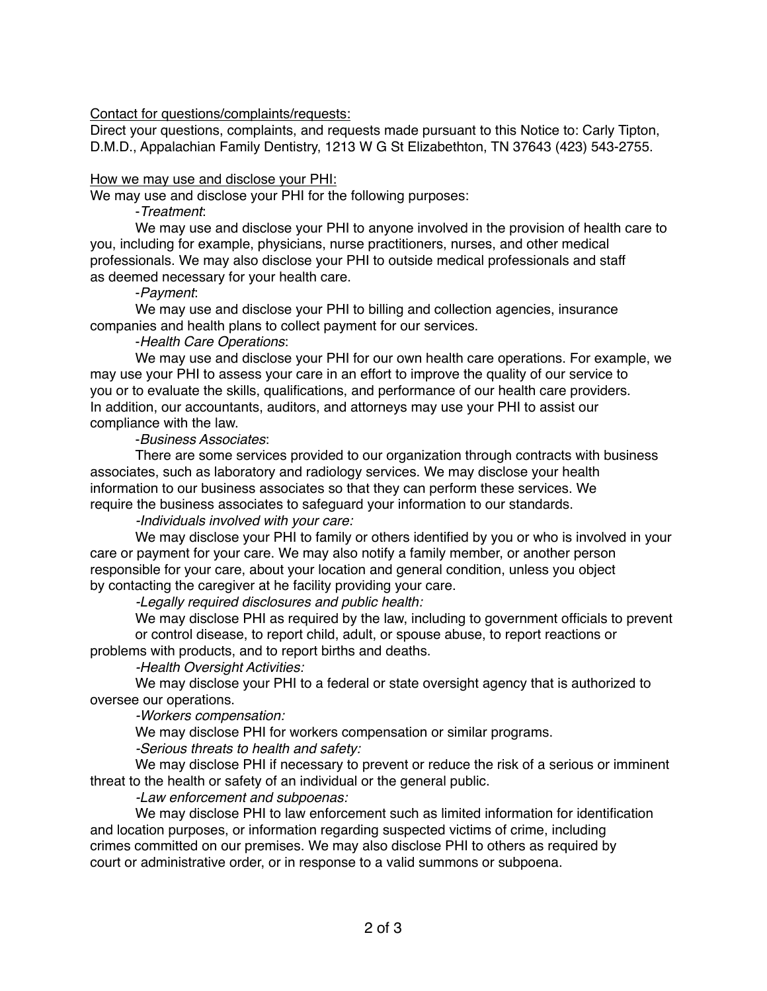#### Contact for questions/complaints/requests:

Direct your questions, complaints, and requests made pursuant to this Notice to: Carly Tipton, D.M.D., Appalachian Family Dentistry, 1213 W G St Elizabethton, TN 37643 (423) 543-2755.

#### How we may use and disclose your PHI:

We may use and disclose your PHI for the following purposes:

#### -*Treatment*:

We may use and disclose your PHI to anyone involved in the provision of health care to you, including for example, physicians, nurse practitioners, nurses, and other medical professionals. We may also disclose your PHI to outside medical professionals and staff as deemed necessary for your health care.

#### -*Payment*:

We may use and disclose your PHI to billing and collection agencies, insurance companies and health plans to collect payment for our services.

#### -*Health Care Operations*:

We may use and disclose your PHI for our own health care operations. For example, we may use your PHI to assess your care in an effort to improve the quality of our service to you or to evaluate the skills, qualifications, and performance of our health care providers. In addition, our accountants, auditors, and attorneys may use your PHI to assist our compliance with the law.

#### -*Business Associates*:

There are some services provided to our organization through contracts with business associates, such as laboratory and radiology services. We may disclose your health information to our business associates so that they can perform these services. We require the business associates to safeguard your information to our standards.

#### *-Individuals involved with your care:*

We may disclose your PHI to family or others identified by you or who is involved in your care or payment for your care. We may also notify a family member, or another person responsible for your care, about your location and general condition, unless you object by contacting the caregiver at he facility providing your care.

*-Legally required disclosures and public health:*

We may disclose PHI as required by the law, including to government officials to prevent or control disease, to report child, adult, or spouse abuse, to report reactions or problems with products, and to report births and deaths.

#### *-Health Oversight Activities:*

We may disclose your PHI to a federal or state oversight agency that is authorized to oversee our operations.

*-Workers compensation:*

We may disclose PHI for workers compensation or similar programs.

*-Serious threats to health and safety:*

We may disclose PHI if necessary to prevent or reduce the risk of a serious or imminent threat to the health or safety of an individual or the general public.

#### *-Law enforcement and subpoenas:*

We may disclose PHI to law enforcement such as limited information for identification and location purposes, or information regarding suspected victims of crime, including crimes committed on our premises. We may also disclose PHI to others as required by court or administrative order, or in response to a valid summons or subpoena.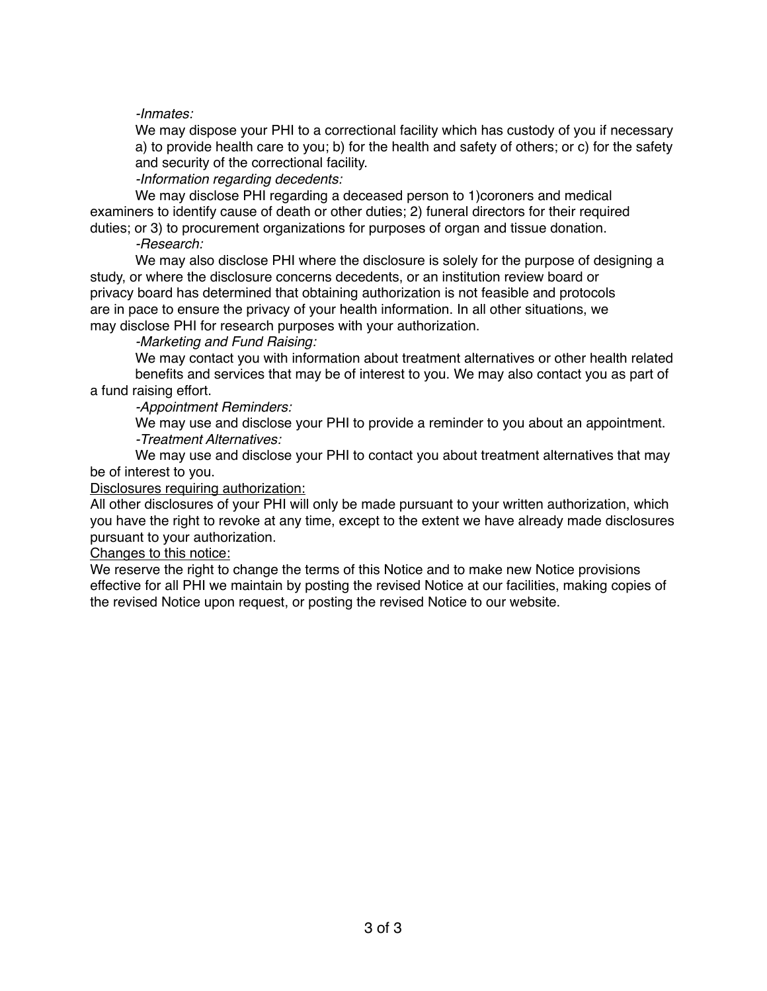#### *-Inmates:*

We may dispose your PHI to a correctional facility which has custody of you if necessary a) to provide health care to you; b) for the health and safety of others; or c) for the safety and security of the correctional facility.

*-Information regarding decedents:*

We may disclose PHI regarding a deceased person to 1)coroners and medical examiners to identify cause of death or other duties; 2) funeral directors for their required duties; or 3) to procurement organizations for purposes of organ and tissue donation.

## *-Research:*

We may also disclose PHI where the disclosure is solely for the purpose of designing a study, or where the disclosure concerns decedents, or an institution review board or privacy board has determined that obtaining authorization is not feasible and protocols are in pace to ensure the privacy of your health information. In all other situations, we may disclose PHI for research purposes with your authorization.

#### *-Marketing and Fund Raising:*

We may contact you with information about treatment alternatives or other health related benefits and services that may be of interest to you. We may also contact you as part of a fund raising effort.

#### *-Appointment Reminders:*

We may use and disclose your PHI to provide a reminder to you about an appointment. *-Treatment Alternatives:*

We may use and disclose your PHI to contact you about treatment alternatives that may be of interest to you.

#### Disclosures requiring authorization:

All other disclosures of your PHI will only be made pursuant to your written authorization, which you have the right to revoke at any time, except to the extent we have already made disclosures pursuant to your authorization.

#### Changes to this notice:

We reserve the right to change the terms of this Notice and to make new Notice provisions effective for all PHI we maintain by posting the revised Notice at our facilities, making copies of the revised Notice upon request, or posting the revised Notice to our website.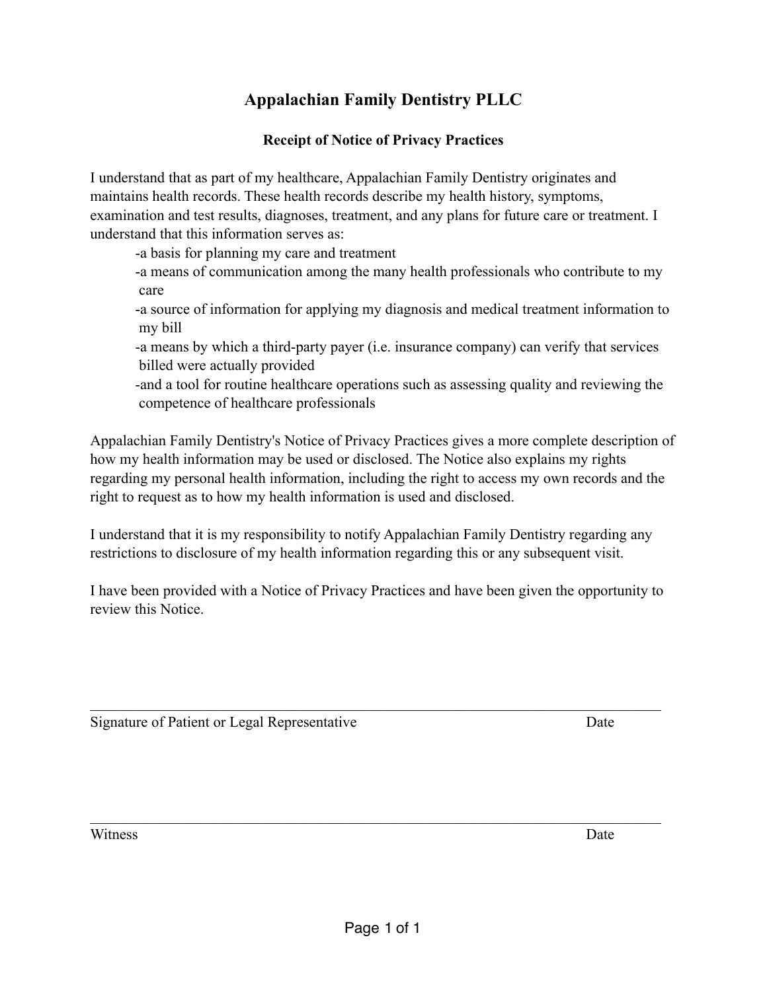## **Receipt of Notice of Privacy Practices**

I understand that as part of my healthcare, Appalachian Family Dentistry originates and maintains health records. These health records describe my health history, symptoms, examination and test results, diagnoses, treatment, and any plans for future care or treatment. I understand that this information serves as:

-a basis for planning my care and treatment

 -a means of communication among the many health professionals who contribute to my care

 -a source of information for applying my diagnosis and medical treatment information to my bill

 -a means by which a third-party payer (i.e. insurance company) can verify that services billed were actually provided

 -and a tool for routine healthcare operations such as assessing quality and reviewing the competence of healthcare professionals

Appalachian Family Dentistry's Notice of Privacy Practices gives a more complete description of how my health information may be used or disclosed. The Notice also explains my rights regarding my personal health information, including the right to access my own records and the right to request as to how my health information is used and disclosed.

I understand that it is my responsibility to notify Appalachian Family Dentistry regarding any restrictions to disclosure of my health information regarding this or any subsequent visit.

I have been provided with a Notice of Privacy Practices and have been given the opportunity to review this Notice.

 $\mathcal{L}_\mathcal{L} = \{ \mathcal{L}_\mathcal{L} = \{ \mathcal{L}_\mathcal{L} = \{ \mathcal{L}_\mathcal{L} = \{ \mathcal{L}_\mathcal{L} = \{ \mathcal{L}_\mathcal{L} = \{ \mathcal{L}_\mathcal{L} = \{ \mathcal{L}_\mathcal{L} = \{ \mathcal{L}_\mathcal{L} = \{ \mathcal{L}_\mathcal{L} = \{ \mathcal{L}_\mathcal{L} = \{ \mathcal{L}_\mathcal{L} = \{ \mathcal{L}_\mathcal{L} = \{ \mathcal{L}_\mathcal{L} = \{ \mathcal{L}_\mathcal{$ 

 $\mathcal{L}_\mathcal{L} = \{ \mathcal{L}_\mathcal{L} = \{ \mathcal{L}_\mathcal{L} = \{ \mathcal{L}_\mathcal{L} = \{ \mathcal{L}_\mathcal{L} = \{ \mathcal{L}_\mathcal{L} = \{ \mathcal{L}_\mathcal{L} = \{ \mathcal{L}_\mathcal{L} = \{ \mathcal{L}_\mathcal{L} = \{ \mathcal{L}_\mathcal{L} = \{ \mathcal{L}_\mathcal{L} = \{ \mathcal{L}_\mathcal{L} = \{ \mathcal{L}_\mathcal{L} = \{ \mathcal{L}_\mathcal{L} = \{ \mathcal{L}_\mathcal{$ 

Signature of Patient or Legal Representative Date

Witness Date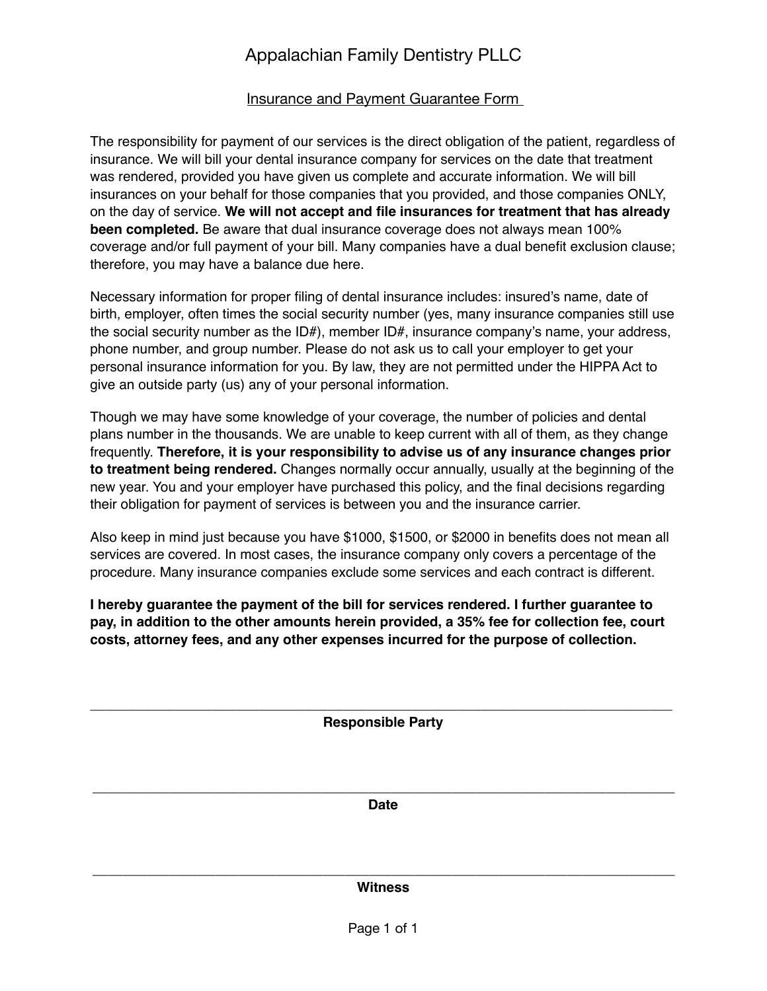# Insurance and Payment Guarantee Form

The responsibility for payment of our services is the direct obligation of the patient, regardless of insurance. We will bill your dental insurance company for services on the date that treatment was rendered, provided you have given us complete and accurate information. We will bill insurances on your behalf for those companies that you provided, and those companies ONLY, on the day of service. **We will not accept and file insurances for treatment that has already been completed.** Be aware that dual insurance coverage does not always mean 100% coverage and/or full payment of your bill. Many companies have a dual benefit exclusion clause; therefore, you may have a balance due here.

Necessary information for proper filing of dental insurance includes: insured's name, date of birth, employer, often times the social security number (yes, many insurance companies still use the social security number as the ID#), member ID#, insurance company's name, your address, phone number, and group number. Please do not ask us to call your employer to get your personal insurance information for you. By law, they are not permitted under the HIPPA Act to give an outside party (us) any of your personal information.

Though we may have some knowledge of your coverage, the number of policies and dental plans number in the thousands. We are unable to keep current with all of them, as they change frequently. **Therefore, it is your responsibility to advise us of any insurance changes prior to treatment being rendered.** Changes normally occur annually, usually at the beginning of the new year. You and your employer have purchased this policy, and the final decisions regarding their obligation for payment of services is between you and the insurance carrier.

Also keep in mind just because you have \$1000, \$1500, or \$2000 in benefits does not mean all services are covered. In most cases, the insurance company only covers a percentage of the procedure. Many insurance companies exclude some services and each contract is different.

**I hereby guarantee the payment of the bill for services rendered. I further guarantee to pay, in addition to the other amounts herein provided, a 35% fee for collection fee, court costs, attorney fees, and any other expenses incurred for the purpose of collection.**

\_\_\_\_\_\_\_\_\_\_\_\_\_\_\_\_\_\_\_\_\_\_\_\_\_\_\_\_\_\_\_\_\_\_\_\_\_\_\_\_\_\_\_\_\_\_\_\_\_\_\_\_\_\_\_\_\_\_\_\_\_\_\_\_\_\_\_\_\_\_\_\_\_\_\_\_ **Responsible Party**

\_\_\_\_\_\_\_\_\_\_\_\_\_\_\_\_\_\_\_\_\_\_\_\_\_\_\_\_\_\_\_\_\_\_\_\_\_\_\_\_\_\_\_\_\_\_\_\_\_\_\_\_\_\_\_\_\_\_\_\_\_\_\_\_\_\_\_\_\_\_\_\_\_\_\_\_ **Date** 

\_\_\_\_\_\_\_\_\_\_\_\_\_\_\_\_\_\_\_\_\_\_\_\_\_\_\_\_\_\_\_\_\_\_\_\_\_\_\_\_\_\_\_\_\_\_\_\_\_\_\_\_\_\_\_\_\_\_\_\_\_\_\_\_\_\_\_\_\_\_\_\_\_\_\_\_ **Witness**